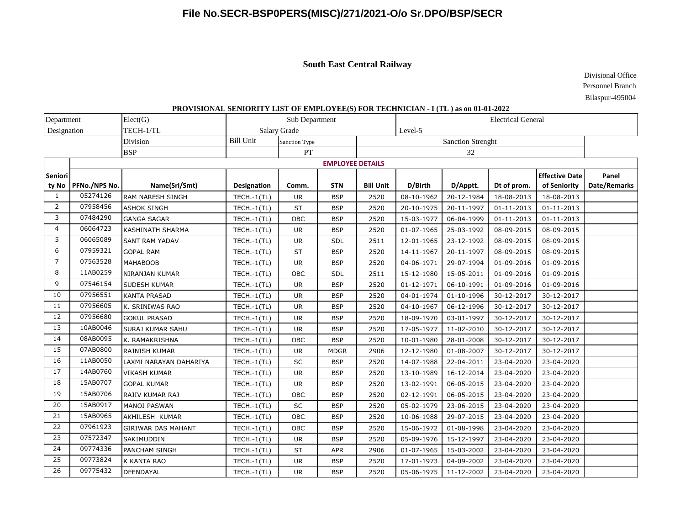# **File No.SECR-BSP0PERS(MISC)/271/2021-O/o Sr.DPO/BSP/SECR**

### **South East Central Railway**

Divisional Office Personnel Branch Bilaspur-495004

### **PROVISIONAL SENIORITY LIST OF EMPLOYEE(S) FOR TECHNICIAN - I (TL ) as on 01-01-2022**

| Department     |                         | Elect(G)                  | Sub Department   |                     |             |                          | <b>Electrical General</b> |            |                  |                       |              |  |
|----------------|-------------------------|---------------------------|------------------|---------------------|-------------|--------------------------|---------------------------|------------|------------------|-----------------------|--------------|--|
| Designation    |                         | TECH-1/TL                 |                  | <b>Salary Grade</b> |             | Level-5                  |                           |            |                  |                       |              |  |
|                |                         | Division                  | <b>Bill Unit</b> | Sanction Type       |             | <b>Sanction Strenght</b> |                           |            |                  |                       |              |  |
|                |                         | <b>BSP</b>                |                  | PT                  |             | 32                       |                           |            |                  |                       |              |  |
|                | <b>EMPLOYEE DETAILS</b> |                           |                  |                     |             |                          |                           |            |                  |                       |              |  |
| Seniori        |                         |                           |                  |                     |             |                          |                           |            |                  | <b>Effective Date</b> | Panel        |  |
| ty No          | PFNo./NPS No.           | Name(Sri/Smt)             | Designation      | Comm.               | <b>STN</b>  | <b>Bill Unit</b>         | D/Birth                   | D/Apptt.   | Dt of prom.      | of Seniority          | Date/Remarks |  |
| 1              | 05274126                | <b>RAM NARESH SINGH</b>   | TECH.-1(TL)      | <b>UR</b>           | <b>BSP</b>  | 2520                     | 08-10-1962                | 20-12-1984 | 18-08-2013       | 18-08-2013            |              |  |
| 2              | 07958456                | <b>ASHOK SINGH</b>        | $TECH.-1(TL)$    | <b>ST</b>           | <b>BSP</b>  | 2520                     | 20-10-1975                | 20-11-1997 | $01 - 11 - 2013$ | $01 - 11 - 2013$      |              |  |
| 3              | 07484290                | <b>GANGA SAGAR</b>        | TECH.-1(TL)      | OBC                 | <b>BSP</b>  | 2520                     | 15-03-1977                | 06-04-1999 | $01 - 11 - 2013$ | $01 - 11 - 2013$      |              |  |
| $\overline{4}$ | 06064723                | <b>KASHINATH SHARMA</b>   | TECH.-1(TL)      | <b>UR</b>           | <b>BSP</b>  | 2520                     | 01-07-1965                | 25-03-1992 | 08-09-2015       | 08-09-2015            |              |  |
| 5              | 06065089                | <b>SANT RAM YADAV</b>     | $TECH.-1(TL)$    | <b>UR</b>           | <b>SDL</b>  | 2511                     | 12-01-1965                | 23-12-1992 | 08-09-2015       | 08-09-2015            |              |  |
| 6              | 07959321                | <b>GOPAL RAM</b>          | $TECH.-1(TL)$    | <b>ST</b>           | <b>BSP</b>  | 2520                     | 14-11-1967                | 20-11-1997 | 08-09-2015       | 08-09-2015            |              |  |
| $\overline{7}$ | 07563528                | <b>MAHABOOB</b>           | $TECH.-1(TL)$    | <b>UR</b>           | <b>BSP</b>  | 2520                     | 04-06-1971                | 29-07-1994 | 01-09-2016       | 01-09-2016            |              |  |
| 8              | 11AB0259                | NIRANJAN KUMAR            | TECH.-1(TL)      | OBC                 | SDL         | 2511                     | 15-12-1980                | 15-05-2011 | 01-09-2016       | 01-09-2016            |              |  |
| 9              | 07546154                | SUDESH KUMAR              | $TECH.-1(TL)$    | <b>UR</b>           | <b>BSP</b>  | 2520                     | 01-12-1971                | 06-10-1991 | 01-09-2016       | 01-09-2016            |              |  |
| 10             | 07956551                | <b>KANTA PRASAD</b>       | TECH.-1(TL)      | <b>UR</b>           | <b>BSP</b>  | 2520                     | 04-01-1974                | 01-10-1996 | 30-12-2017       | 30-12-2017            |              |  |
| 11             | 07956605                | K. SRINIWAS RAO           | TECH.-1(TL)      | <b>UR</b>           | <b>BSP</b>  | 2520                     | 04-10-1967                | 06-12-1996 | 30-12-2017       | 30-12-2017            |              |  |
| 12             | 07956680                | <b>GOKUL PRASAD</b>       | TECH.-1(TL)      | <b>UR</b>           | <b>BSP</b>  | 2520                     | 18-09-1970                | 03-01-1997 | 30-12-2017       | 30-12-2017            |              |  |
| 13             | 10AB0046                | SURAJ KUMAR SAHU          | $TECH.-1(TL)$    | <b>UR</b>           | <b>BSP</b>  | 2520                     | 17-05-1977                | 11-02-2010 | 30-12-2017       | 30-12-2017            |              |  |
| 14             | 08AB0095                | K. RAMAKRISHNA            | $TECH.-1(TL)$    | OBC                 | <b>BSP</b>  | 2520                     | 10-01-1980                | 28-01-2008 | 30-12-2017       | 30-12-2017            |              |  |
| 15             | 07AB0800                | RAJNISH KUMAR             | TECH.-1(TL)      | <b>UR</b>           | <b>MDGR</b> | 2906                     | 12-12-1980                | 01-08-2007 | 30-12-2017       | 30-12-2017            |              |  |
| 16             | 11AB0050                | LAXMI NARAYAN DAHARIYA    | TECH.-1(TL)      | SC                  | <b>BSP</b>  | 2520                     | 14-07-1988                | 22-04-2011 | 23-04-2020       | 23-04-2020            |              |  |
| 17             | 14AB0760                | <b>VIKASH KUMAR</b>       | $TECH.-1(TL)$    | <b>UR</b>           | <b>BSP</b>  | 2520                     | 13-10-1989                | 16-12-2014 | 23-04-2020       | 23-04-2020            |              |  |
| 18             | 15AB0707                | <b>GOPAL KUMAR</b>        | $TECH.-1(TL)$    | <b>UR</b>           | <b>BSP</b>  | 2520                     | 13-02-1991                | 06-05-2015 | 23-04-2020       | 23-04-2020            |              |  |
| 19             | 15AB0706                | RAJIV KUMAR RAJ           | TECH.-1(TL)      | OBC                 | <b>BSP</b>  | 2520                     | 02-12-1991                | 06-05-2015 | 23-04-2020       | 23-04-2020            |              |  |
| 20             | 15AB0917                | <b>MANOJ PASWAN</b>       | TECH.-1(TL)      | SC                  | <b>BSP</b>  | 2520                     | 05-02-1979                | 23-06-2015 | 23-04-2020       | 23-04-2020            |              |  |
| 21             | 15AB0965                | AKHILESH KUMAR            | $TECH.-1(TL)$    | OBC                 | <b>BSP</b>  | 2520                     | 10-06-1988                | 29-07-2015 | 23-04-2020       | 23-04-2020            |              |  |
| 22             | 07961923                | <b>GIRIWAR DAS MAHANT</b> | TECH.-1(TL)      | OBC                 | <b>BSP</b>  | 2520                     | 15-06-1972                | 01-08-1998 | 23-04-2020       | 23-04-2020            |              |  |
| 23             | 07572347                | SAKIMUDDIN                | TECH.-1(TL)      | <b>UR</b>           | <b>BSP</b>  | 2520                     | 05-09-1976                | 15-12-1997 | 23-04-2020       | 23-04-2020            |              |  |
| 24             | 09774336                | PANCHAM SINGH             | TECH.-1(TL)      | ST                  | <b>APR</b>  | 2906                     | 01-07-1965                | 15-03-2002 | 23-04-2020       | 23-04-2020            |              |  |
| 25             | 09773824                | K KANTA RAO               | $TECH.-1(TL)$    | <b>UR</b>           | <b>BSP</b>  | 2520                     | 17-01-1973                | 04-09-2002 | 23-04-2020       | 23-04-2020            |              |  |
| 26             | 09775432                | DEENDAYAL                 | TECH.-1(TL)      | <b>UR</b>           | <b>BSP</b>  | 2520                     | 05-06-1975                | 11-12-2002 | 23-04-2020       | 23-04-2020            |              |  |